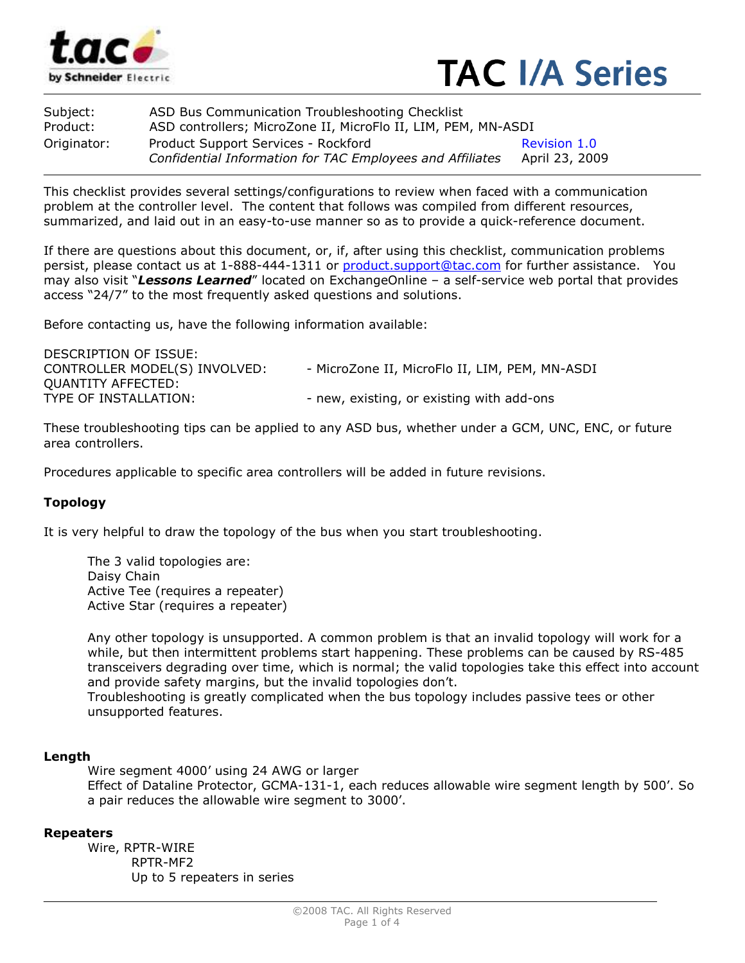



| Subject:    | ASD Bus Communication Troubleshooting Checklist                                                  |                                |
|-------------|--------------------------------------------------------------------------------------------------|--------------------------------|
| Product:    | ASD controllers; MicroZone II, MicroFlo II, LIM, PEM, MN-ASDI                                    |                                |
| Originator: | Product Support Services - Rockford<br>Confidential Information for TAC Employees and Affiliates | Revision 1.0<br>April 23, 2009 |

This checklist provides several settings/configurations to review when faced with a communication problem at the controller level. The content that follows was compiled from different resources, summarized, and laid out in an easy-to-use manner so as to provide a quick-reference document.

If there are questions about this document, or, if, after using this checklist, communication problems persist, please contact us at 1-888-444-1311 or product.support@tac.com for further assistance. You may also visit "Lessons Learned" located on ExchangeOnline - a self-service web portal that provides access "24/7" to the most frequently asked questions and solutions.

Before contacting us, have the following information available:

| - MicroZone II, MicroFlo II, LIM, PEM, MN-ASDI |
|------------------------------------------------|
|                                                |
| - new, existing, or existing with add-ons      |
|                                                |

These troubleshooting tips can be applied to any ASD bus, whether under a GCM, UNC, ENC, or future area controllers.

Procedures applicable to specific area controllers will be added in future revisions.

## Topology

It is very helpful to draw the topology of the bus when you start troubleshooting.

The 3 valid topologies are: Daisy Chain Active Tee (requires a repeater) Active Star (requires a repeater)

Any other topology is unsupported. A common problem is that an invalid topology will work for a while, but then intermittent problems start happening. These problems can be caused by RS-485 transceivers degrading over time, which is normal; the valid topologies take this effect into account and provide safety margins, but the invalid topologies don't.

Troubleshooting is greatly complicated when the bus topology includes passive tees or other unsupported features.

## Length

 Wire segment 4000' using 24 AWG or larger Effect of Dataline Protector, GCMA-131-1, each reduces allowable wire segment length by 500'. So a pair reduces the allowable wire segment to 3000'.

## Repeaters

 Wire, RPTR-WIRE RPTR-MF2 Up to 5 repeaters in series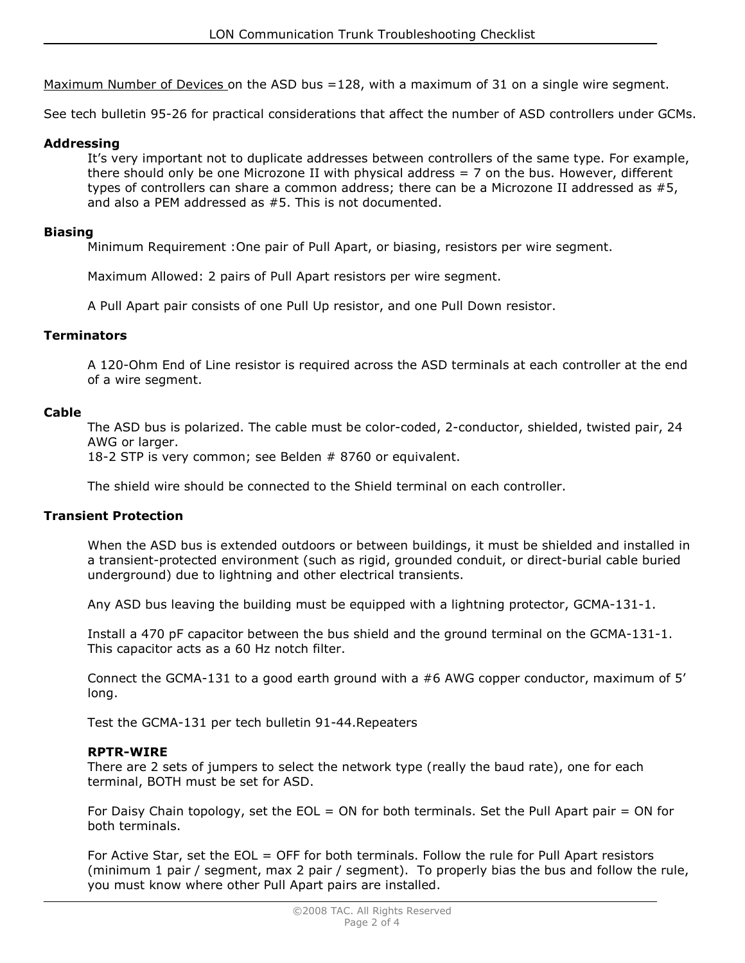Maximum Number of Devices on the ASD bus =128, with a maximum of 31 on a single wire segment.

See tech bulletin 95-26 for practical considerations that affect the number of ASD controllers under GCMs.

# Addressing

It's very important not to duplicate addresses between controllers of the same type. For example, there should only be one Microzone II with physical address  $= 7$  on the bus. However, different types of controllers can share a common address; there can be a Microzone II addressed as #5, and also a PEM addressed as #5. This is not documented.

## Biasing

Minimum Requirement :One pair of Pull Apart, or biasing, resistors per wire segment.

Maximum Allowed: 2 pairs of Pull Apart resistors per wire segment.

A Pull Apart pair consists of one Pull Up resistor, and one Pull Down resistor.

## **Terminators**

A 120-Ohm End of Line resistor is required across the ASD terminals at each controller at the end of a wire segment.

## Cable

The ASD bus is polarized. The cable must be color-coded, 2-conductor, shielded, twisted pair, 24 AWG or larger.

18-2 STP is very common; see Belden # 8760 or equivalent.

The shield wire should be connected to the Shield terminal on each controller.

## Transient Protection

When the ASD bus is extended outdoors or between buildings, it must be shielded and installed in a transient-protected environment (such as rigid, grounded conduit, or direct-burial cable buried underground) due to lightning and other electrical transients.

Any ASD bus leaving the building must be equipped with a lightning protector, GCMA-131-1.

Install a 470 pF capacitor between the bus shield and the ground terminal on the GCMA-131-1. This capacitor acts as a 60 Hz notch filter.

Connect the GCMA-131 to a good earth ground with a #6 AWG copper conductor, maximum of 5' long.

Test the GCMA-131 per tech bulletin 91-44.Repeaters

## RPTR-WIRE

There are 2 sets of jumpers to select the network type (really the baud rate), one for each terminal, BOTH must be set for ASD.

For Daisy Chain topology, set the EOL = ON for both terminals. Set the Pull Apart pair = ON for both terminals.

For Active Star, set the EOL = OFF for both terminals. Follow the rule for Pull Apart resistors (minimum 1 pair / segment, max 2 pair / segment). To properly bias the bus and follow the rule, you must know where other Pull Apart pairs are installed.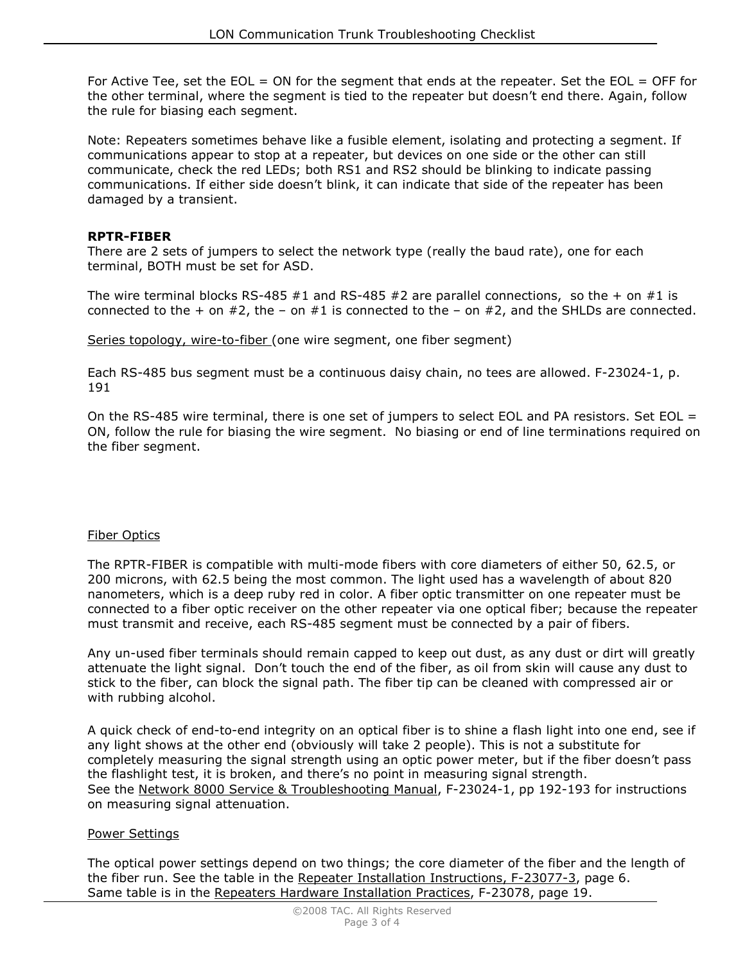For Active Tee, set the EOL = ON for the segment that ends at the repeater. Set the EOL = OFF for the other terminal, where the segment is tied to the repeater but doesn't end there. Again, follow the rule for biasing each segment.

Note: Repeaters sometimes behave like a fusible element, isolating and protecting a segment. If communications appear to stop at a repeater, but devices on one side or the other can still communicate, check the red LEDs; both RS1 and RS2 should be blinking to indicate passing communications. If either side doesn't blink, it can indicate that side of the repeater has been damaged by a transient.

# RPTR-FIBER

There are 2 sets of jumpers to select the network type (really the baud rate), one for each terminal, BOTH must be set for ASD.

The wire terminal blocks RS-485  $#1$  and RS-485  $#2$  are parallel connections, so the  $+$  on  $#1$  is connected to the  $+$  on  $#2$ , the  $-$  on  $#1$  is connected to the  $-$  on  $#2$ , and the SHLDs are connected.

Series topology, wire-to-fiber (one wire segment, one fiber segment)

Each RS-485 bus segment must be a continuous daisy chain, no tees are allowed. F-23024-1, p. 191

On the RS-485 wire terminal, there is one set of jumpers to select EOL and PA resistors. Set EOL = ON, follow the rule for biasing the wire segment. No biasing or end of line terminations required on the fiber segment.

## Fiber Optics

The RPTR-FIBER is compatible with multi-mode fibers with core diameters of either 50, 62.5, or 200 microns, with 62.5 being the most common. The light used has a wavelength of about 820 nanometers, which is a deep ruby red in color. A fiber optic transmitter on one repeater must be connected to a fiber optic receiver on the other repeater via one optical fiber; because the repeater must transmit and receive, each RS-485 segment must be connected by a pair of fibers.

Any un-used fiber terminals should remain capped to keep out dust, as any dust or dirt will greatly attenuate the light signal. Don't touch the end of the fiber, as oil from skin will cause any dust to stick to the fiber, can block the signal path. The fiber tip can be cleaned with compressed air or with rubbing alcohol.

A quick check of end-to-end integrity on an optical fiber is to shine a flash light into one end, see if any light shows at the other end (obviously will take 2 people). This is not a substitute for completely measuring the signal strength using an optic power meter, but if the fiber doesn't pass the flashlight test, it is broken, and there's no point in measuring signal strength. See the Network 8000 Service & Troubleshooting Manual, F-23024-1, pp 192-193 for instructions on measuring signal attenuation.

# Power Settings

The optical power settings depend on two things; the core diameter of the fiber and the length of the fiber run. See the table in the Repeater Installation Instructions, F-23077-3, page 6. Same table is in the Repeaters Hardware Installation Practices, F-23078, page 19.